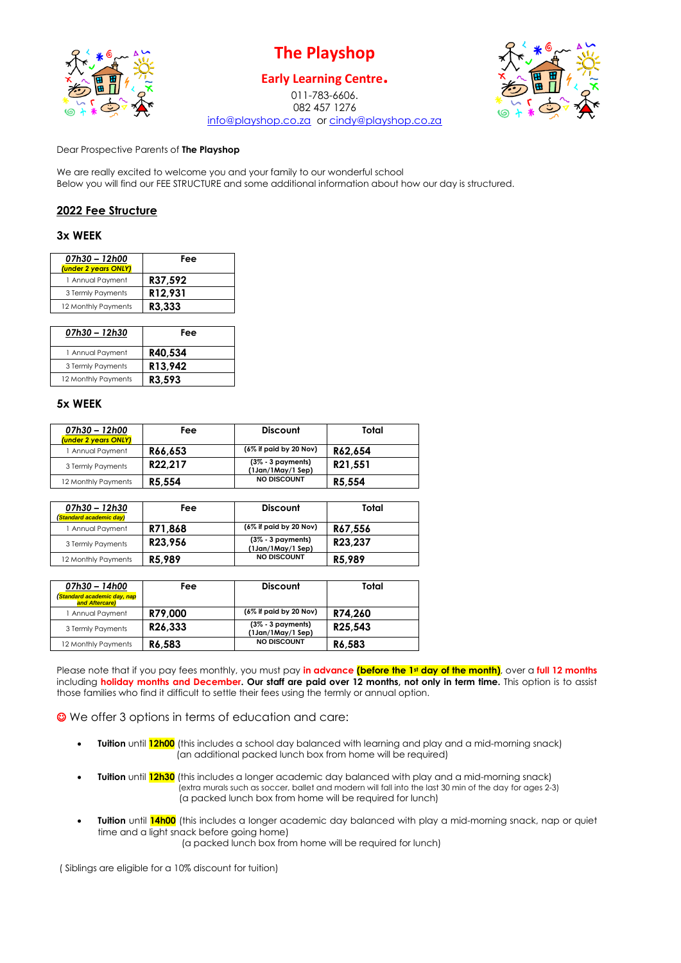

# **The Playshop**

## **Early Learning Centre.**

011-783-6606. 082 457 1276 [info@playshop.co.za](mailto:info@playshop.co.za) or [cindy@playshop.co.za](mailto:cindy@playshop.co.za)



Dear Prospective Parents of **The Playshop**

We are really excited to welcome you and your family to our wonderful school Below you will find our FEE STRUCTURE and some additional information about how our day is structured.

## **2022 Fee Structure**

#### **3x WEEK**

| 07h30 - 12h00<br>(under 2 years ONLY) | Fee     |
|---------------------------------------|---------|
| 1 Annual Payment                      | R37.592 |
| 3 Termly Payments                     | R12,931 |
| 12 Monthly Payments                   | R3.333  |
|                                       |         |

| 07h30 - 12h30       | Fee     |
|---------------------|---------|
| 1 Annual Payment    | R40.534 |
| 3 Termly Payments   | R13,942 |
| 12 Monthly Payments | R3.593  |

#### **5x WEEK**

| 07h30 - 12h00<br>(under 2 years ONLY) | Fee     | <b>Discount</b>                           | Total   |
|---------------------------------------|---------|-------------------------------------------|---------|
| 1 Annual Payment                      | R66.653 | $(6\%$ if paid by 20 Nov)                 | R62.654 |
| 3 Termly Payments                     | R22.217 | $(3\% - 3$ payments)<br>(1Jan/1May/1 Sep) | R21.551 |
| 12 Monthly Payments                   | R5.554  | <b>NO DISCOUNT</b>                        | R5,554  |

| 07h30 - 12h30<br>(Standard academic day) | Fee     | <b>Discount</b>                           | Total   |
|------------------------------------------|---------|-------------------------------------------|---------|
| 1 Annual Payment                         | R71.868 | $(6\%$ if paid by 20 Nov)                 | R67.556 |
| 3 Termly Payments                        | R23.956 | $(3\% - 3$ payments)<br>(1Jan/1May/1 Sep) | R23.237 |
| 12 Monthly Payments                      | R5.989  | <b>NO DISCOUNT</b>                        | R5.989  |

| 07h30 - 14h00<br><b>Standard academic day, nap</b><br>and Aftercare) | Fee                  | <b>Discount</b>                           | Total   |
|----------------------------------------------------------------------|----------------------|-------------------------------------------|---------|
| 1 Annual Payment                                                     | R79.000              | $(6\%$ if paid by 20 Nov)                 | R74.260 |
| 3 Termly Payments                                                    | R <sub>26</sub> .333 | $(3\% - 3$ payments)<br>(1Jan/1May/1 Sep) | R25.543 |
| 12 Monthly Payments                                                  | R6.583               | <b>NO DISCOUNT</b>                        | R6.583  |

Please note that if you pay fees monthly, you must pay **in advance (before the 1st day of the month)**, over a **full 12 months** including **holiday months and December. Our staff are paid over 12 months, not only in term time.** This option is to assist those families who find it difficult to settle their fees using the termly or annual option.

☺ We offer 3 options in terms of education and care:

- **Tuition** until **12h00** (this includes a school day balanced with learning and play and a mid-morning snack) (an additional packed lunch box from home will be required)
- **Tuition** until **12h30** (this includes a longer academic day balanced with play and a mid-morning snack) (extra murals such as soccer, ballet and modern will fall into the last 30 min of the day for ages 2-3) (a packed lunch box from home will be required for lunch)
- **Tuition** until **14h00** (this includes a longer academic day balanced with play a mid-morning snack, nap or quiet time and a light snack before going home) (a packed lunch box from home will be required for lunch)

( Siblings are eligible for a 10% discount for tuition)